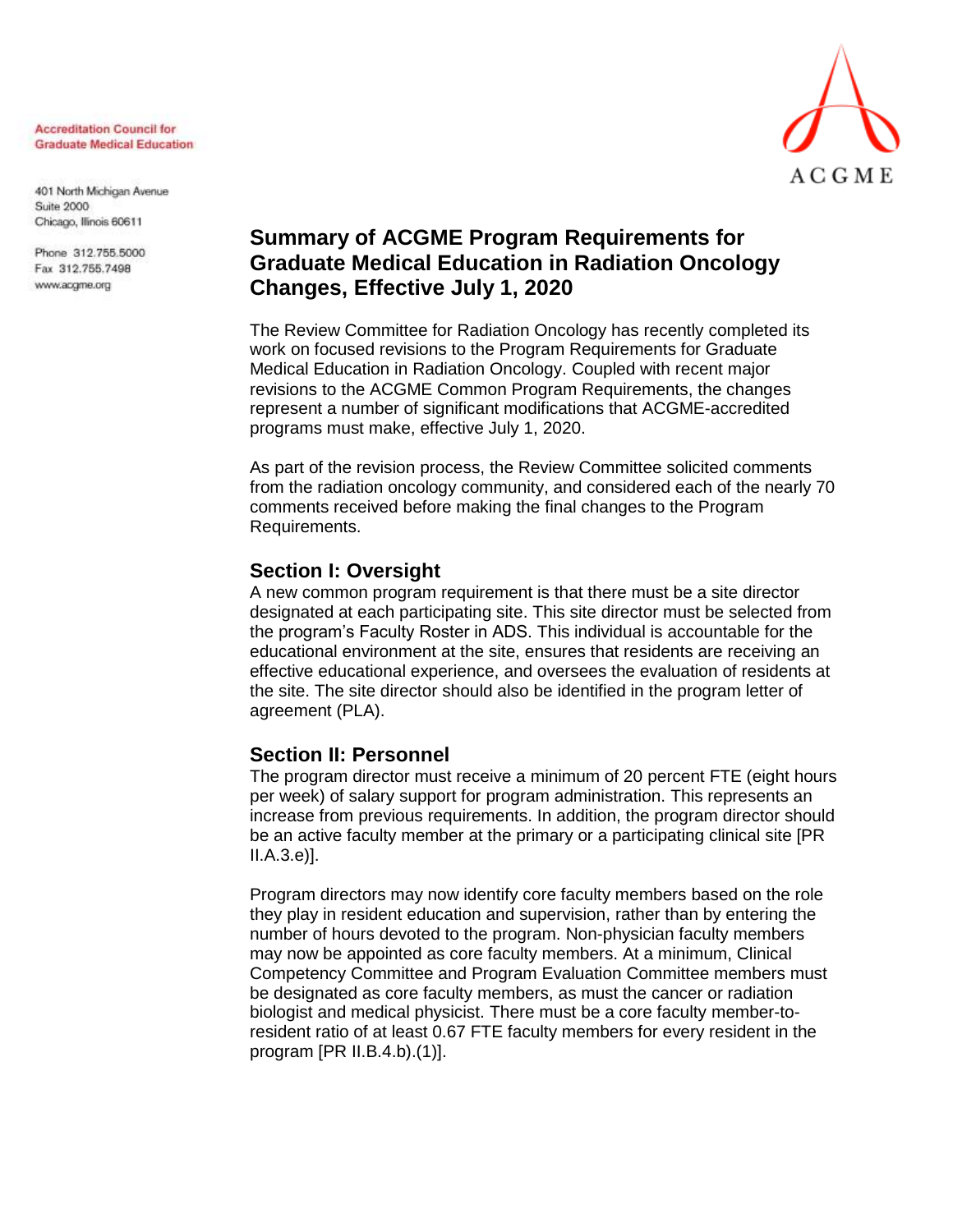#### **Accreditation Council for Graduate Medical Education**

401 North Michigan Avenue **Suite 2000** Chicago, Illinois 60611

Phone 312.755.5000 Fax 312.755.7498 www.acgme.org



# **Summary of ACGME Program Requirements for Graduate Medical Education in Radiation Oncology Changes, Effective July 1, 2020**

The Review Committee for Radiation Oncology has recently completed its work on focused revisions to the Program Requirements for Graduate Medical Education in Radiation Oncology. Coupled with recent major revisions to the ACGME Common Program Requirements, the changes represent a number of significant modifications that ACGME-accredited programs must make, effective July 1, 2020.

As part of the revision process, the Review Committee solicited comments from the radiation oncology community, and considered each of the nearly 70 comments received before making the final changes to the Program Requirements.

### **Section I: Oversight**

A new common program requirement is that there must be a site director designated at each participating site. This site director must be selected from the program's Faculty Roster in ADS. This individual is accountable for the educational environment at the site, ensures that residents are receiving an effective educational experience, and oversees the evaluation of residents at the site. The site director should also be identified in the program letter of agreement (PLA).

#### **Section II: Personnel**

The program director must receive a minimum of 20 percent FTE (eight hours per week) of salary support for program administration. This represents an increase from previous requirements. In addition, the program director should be an active faculty member at the primary or a participating clinical site [PR II.A.3.e)].

Program directors may now identify core faculty members based on the role they play in resident education and supervision, rather than by entering the number of hours devoted to the program. Non-physician faculty members may now be appointed as core faculty members. At a minimum, Clinical Competency Committee and Program Evaluation Committee members must be designated as core faculty members, as must the cancer or radiation biologist and medical physicist. There must be a core faculty member-toresident ratio of at least 0.67 FTE faculty members for every resident in the program [PR II.B.4.b).(1)].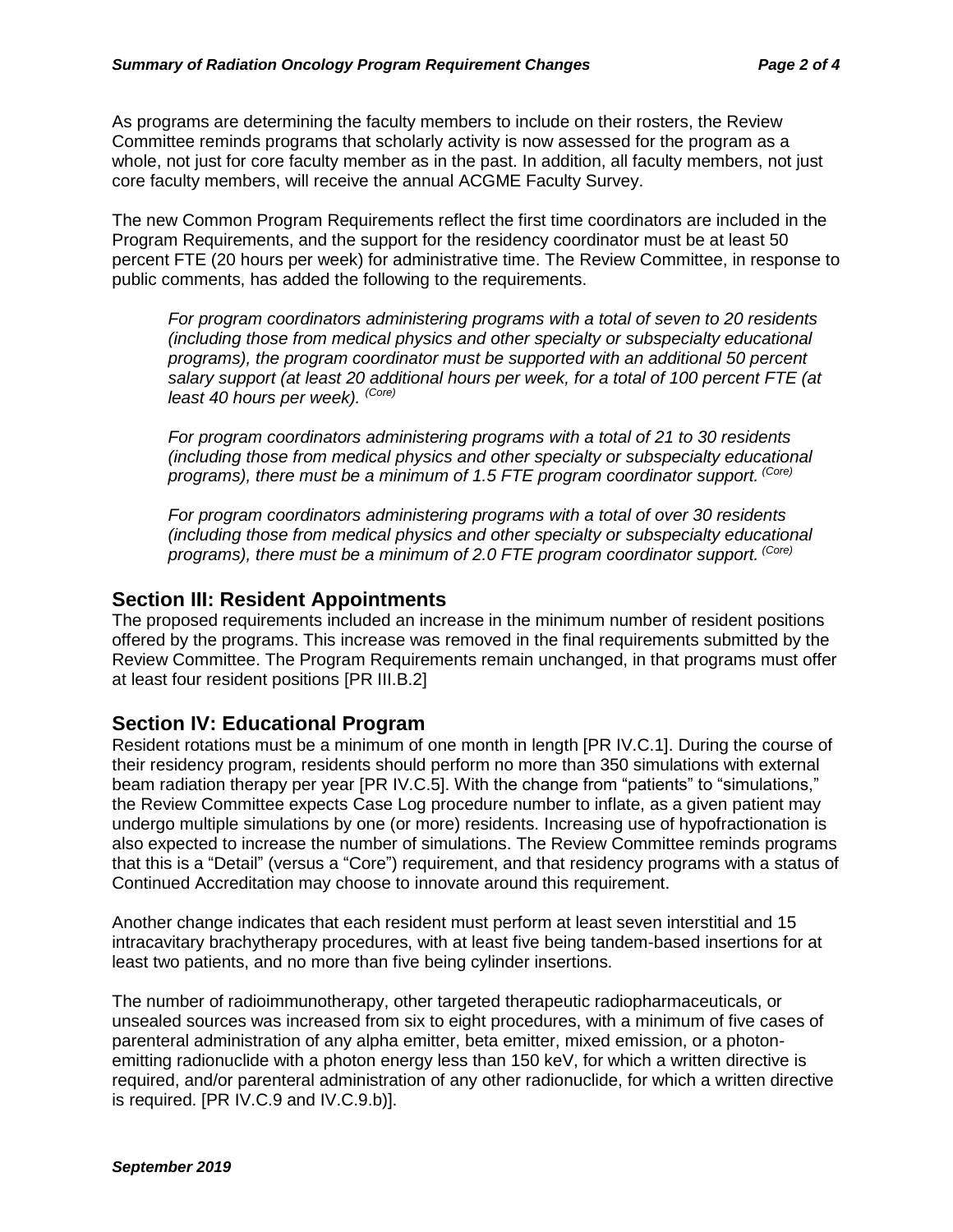As programs are determining the faculty members to include on their rosters, the Review Committee reminds programs that scholarly activity is now assessed for the program as a whole, not just for core faculty member as in the past. In addition, all faculty members, not just core faculty members, will receive the annual ACGME Faculty Survey.

The new Common Program Requirements reflect the first time coordinators are included in the Program Requirements, and the support for the residency coordinator must be at least 50 percent FTE (20 hours per week) for administrative time. The Review Committee, in response to public comments, has added the following to the requirements.

*For program coordinators administering programs with a total of seven to 20 residents (including those from medical physics and other specialty or subspecialty educational programs), the program coordinator must be supported with an additional 50 percent salary support (at least 20 additional hours per week, for a total of 100 percent FTE (at least 40 hours per week). (Core)*

*For program coordinators administering programs with a total of 21 to 30 residents (including those from medical physics and other specialty or subspecialty educational programs), there must be a minimum of 1.5 FTE program coordinator support. (Core)*

*For program coordinators administering programs with a total of over 30 residents (including those from medical physics and other specialty or subspecialty educational programs), there must be a minimum of 2.0 FTE program coordinator support. (Core)*

### **Section III: Resident Appointments**

The proposed requirements included an increase in the minimum number of resident positions offered by the programs. This increase was removed in the final requirements submitted by the Review Committee. The Program Requirements remain unchanged, in that programs must offer at least four resident positions [PR III.B.2]

#### **Section IV: Educational Program**

Resident rotations must be a minimum of one month in length [PR IV.C.1]. During the course of their residency program, residents should perform no more than 350 simulations with external beam radiation therapy per year [PR IV.C.5]. With the change from "patients" to "simulations," the Review Committee expects Case Log procedure number to inflate, as a given patient may undergo multiple simulations by one (or more) residents. Increasing use of hypofractionation is also expected to increase the number of simulations. The Review Committee reminds programs that this is a "Detail" (versus a "Core") requirement, and that residency programs with a status of Continued Accreditation may choose to innovate around this requirement.

Another change indicates that each resident must perform at least seven interstitial and 15 intracavitary brachytherapy procedures, with at least five being tandem-based insertions for at least two patients, and no more than five being cylinder insertions.

The number of radioimmunotherapy, other targeted therapeutic radiopharmaceuticals, or unsealed sources was increased from six to eight procedures, with a minimum of five cases of parenteral administration of any alpha emitter, beta emitter, mixed emission, or a photonemitting radionuclide with a photon energy less than 150 keV, for which a written directive is required, and/or parenteral administration of any other radionuclide, for which a written directive is required. [PR IV.C.9 and IV.C.9.b)].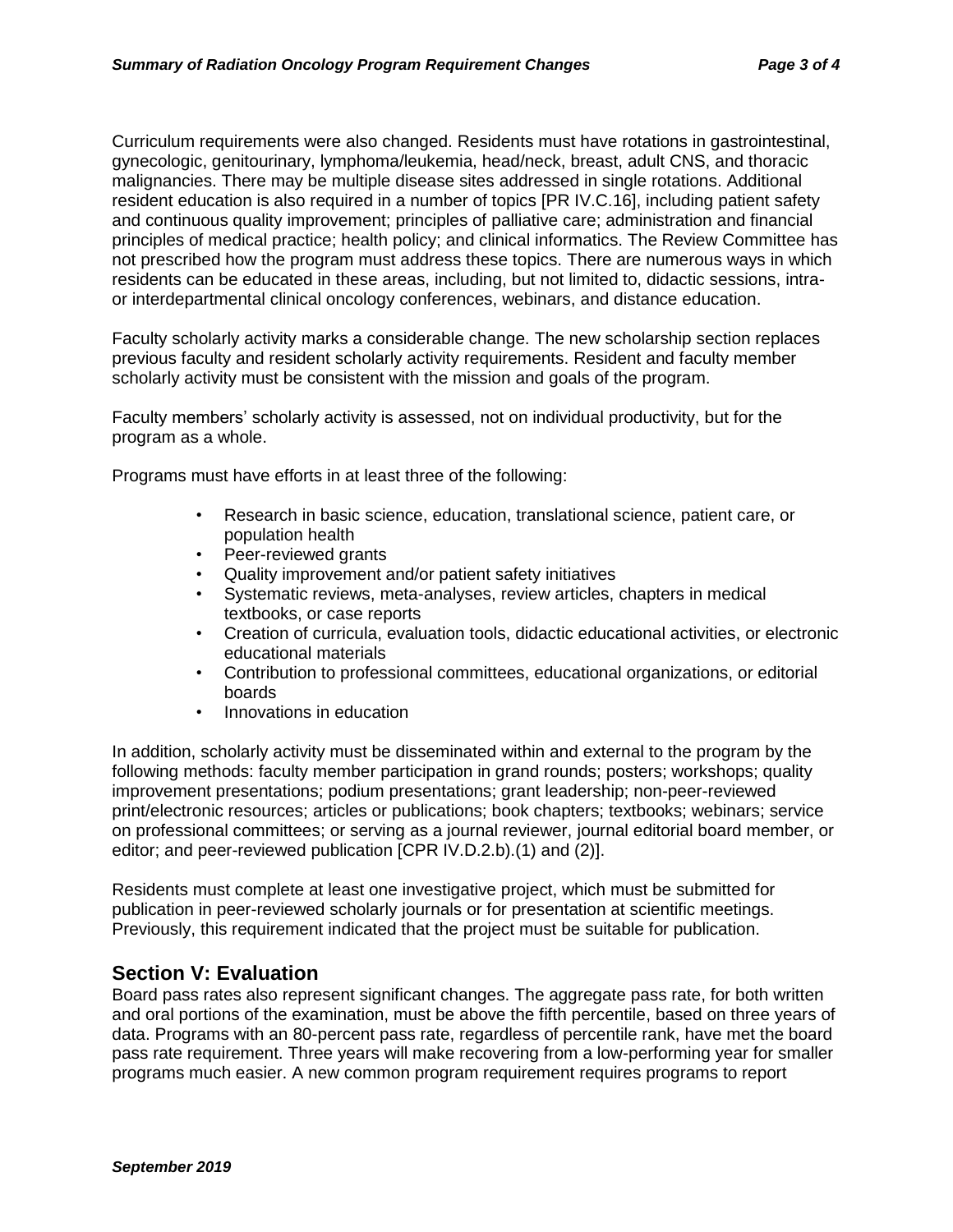Curriculum requirements were also changed. Residents must have rotations in gastrointestinal, gynecologic, genitourinary, lymphoma/leukemia, head/neck, breast, adult CNS, and thoracic malignancies. There may be multiple disease sites addressed in single rotations. Additional resident education is also required in a number of topics [PR IV.C.16], including patient safety and continuous quality improvement; principles of palliative care; administration and financial principles of medical practice; health policy; and clinical informatics. The Review Committee has not prescribed how the program must address these topics. There are numerous ways in which residents can be educated in these areas, including, but not limited to, didactic sessions, intraor interdepartmental clinical oncology conferences, webinars, and distance education.

Faculty scholarly activity marks a considerable change. The new scholarship section replaces previous faculty and resident scholarly activity requirements. Resident and faculty member scholarly activity must be consistent with the mission and goals of the program.

Faculty members' scholarly activity is assessed, not on individual productivity, but for the program as a whole.

Programs must have efforts in at least three of the following:

- Research in basic science, education, translational science, patient care, or population health
- Peer-reviewed grants
- Quality improvement and/or patient safety initiatives
- Systematic reviews, meta-analyses, review articles, chapters in medical textbooks, or case reports
- Creation of curricula, evaluation tools, didactic educational activities, or electronic educational materials
- Contribution to professional committees, educational organizations, or editorial boards
- Innovations in education

In addition, scholarly activity must be disseminated within and external to the program by the following methods: faculty member participation in grand rounds; posters; workshops; quality improvement presentations; podium presentations; grant leadership; non-peer-reviewed print/electronic resources; articles or publications; book chapters; textbooks; webinars; service on professional committees; or serving as a journal reviewer, journal editorial board member, or editor; and peer-reviewed publication [CPR IV.D.2.b).(1) and (2)].

Residents must complete at least one investigative project, which must be submitted for publication in peer-reviewed scholarly journals or for presentation at scientific meetings. Previously, this requirement indicated that the project must be suitable for publication.

# **Section V: Evaluation**

Board pass rates also represent significant changes. The aggregate pass rate, for both written and oral portions of the examination, must be above the fifth percentile, based on three years of data. Programs with an 80-percent pass rate, regardless of percentile rank, have met the board pass rate requirement. Three years will make recovering from a low-performing year for smaller programs much easier. A new common program requirement requires programs to report